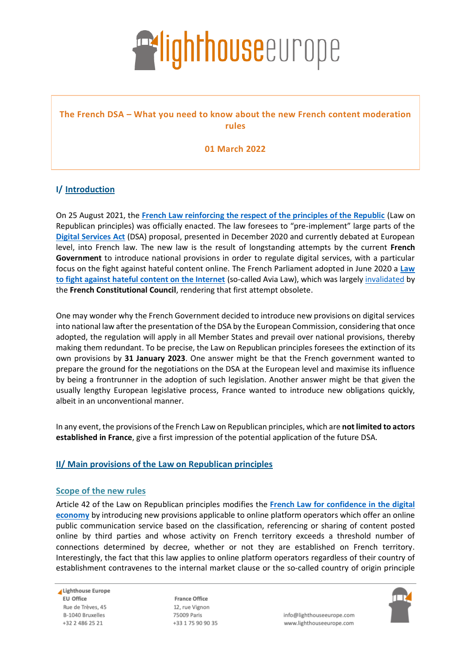# **Exlighthouse**europe

### **The French DSA – What you need to know about the new French content moderation rules**

**01 March 2022**

## **I/ Introduction**

On 25 August 2021, the **[French Law reinforcing the respect of the principles of the Republic](https://www.legifrance.gouv.fr/jorf/id/JORFTEXT000043964778)** (Law on Republican principles) was officially enacted. The law foresees to "pre-implement" large parts of the **[Digital Services Act](https://eur-lex.europa.eu/legal-content/en/TXT/?uri=COM%3A2020%3A825%3AFIN)** (DSA) proposal, presented in December 2020 and currently debated at European level, into French law. The new law is the result of longstanding attempts by the current **French Government** to introduce national provisions in order to regulate digital services, with a particular focus on the fight against hateful content online. The French Parliament adopted in June 2020 a **[Law](https://www.legifrance.gouv.fr/jorf/id/JORFTEXT000042031970)  [to fight against hateful content on the Internet](https://www.legifrance.gouv.fr/jorf/id/JORFTEXT000042031970)** (so-called Avia Law), which was largely [invalidated](https://www.conseil-constitutionnel.fr/decision/2020/2020801DC.htm) by the **French Constitutional Council**, rendering that first attempt obsolete.

One may wonder why the French Government decided to introduce new provisions on digital services into national law after the presentation of the DSA by the European Commission, considering that once adopted, the regulation will apply in all Member States and prevail over national provisions, thereby making them redundant. To be precise, the Law on Republican principles foresees the extinction of its own provisions by **31 January 2023**. One answer might be that the French government wanted to prepare the ground for the negotiations on the DSA at the European level and maximise its influence by being a frontrunner in the adoption of such legislation. Another answer might be that given the usually lengthy European legislative process, France wanted to introduce new obligations quickly, albeit in an unconventional manner.

In any event, the provisions of the French Law on Republican principles, which are **not limited to actors established in France**, give a first impression of the potential application of the future DSA.

### **II/ Main provisions of the Law on Republican principles**

### **Scope of the new rules**

Article 42 of the Law on Republican principles modifies the **[French Law for confidence in the digital](https://www.legifrance.gouv.fr/loda/id/JORFTEXT000000801164/)  [economy](https://www.legifrance.gouv.fr/loda/id/JORFTEXT000000801164/)** by introducing new provisions applicable to online platform operators which offer an online public communication service based on the classification, referencing or sharing of content posted online by third parties and whose activity on French territory exceeds a threshold number of connections determined by decree, whether or not they are established on French territory. Interestingly, the fact that this law applies to online platform operators regardless of their country of establishment contravenes to the internal market clause or the so-called country of origin principle

Lighthouse Europe **EU Office** Rue de Trèves. 45 B-1040 Bruxelles +32 2 486 25 21

**France Office** 12, rue Vignon 75009 Paris +33 1 75 90 90 35



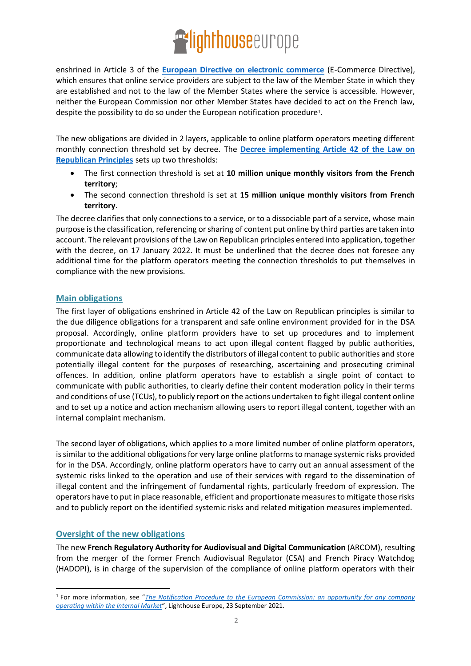# **Exlighthouse**europe

enshrined in Article 3 of the **[European Directive on electronic commerce](https://eur-lex.europa.eu/legal-content/EN/ALL/?uri=celex%3A32000L0031)** (E-Commerce Directive), which ensures that online service providers are subject to the law of the Member State in which they are established and not to the law of the Member States where the service is accessible. However, neither the European Commission nor other Member States have decided to act on the French law, despite the possibility to do so under the European notification procedure<sup>1</sup>.

The new obligations are divided in 2 layers, applicable to online platform operators meeting different monthly connection threshold set by decree. The **[Decree implementing Article 42 of the](https://www.legifrance.gouv.fr/jorf/id/JORFTEXT000044993663) Law on [Republican Principles](https://www.legifrance.gouv.fr/jorf/id/JORFTEXT000044993663)** sets up two thresholds:

- The first connection threshold is set at **10 million unique monthly visitors from the French territory**;
- The second connection threshold is set at **15 million unique monthly visitors from French territory**.

The decree clarifies that only connections to a service, or to a dissociable part of a service, whose main purpose is the classification, referencing or sharing of content put online by third parties are taken into account. The relevant provisions of the Law on Republican principles entered into application, together with the decree, on 17 January 2022. It must be underlined that the decree does not foresee any additional time for the platform operators meeting the connection thresholds to put themselves in compliance with the new provisions.

### **Main obligations**

The first layer of obligations enshrined in Article 42 of the Law on Republican principles is similar to the due diligence obligations for a transparent and safe online environment provided for in the DSA proposal. Accordingly, online platform providers have to set up procedures and to implement proportionate and technological means to act upon illegal content flagged by public authorities, communicate data allowing to identify the distributors of illegal content to public authorities and store potentially illegal content for the purposes of researching, ascertaining and prosecuting criminal offences. In addition, online platform operators have to establish a single point of contact to communicate with public authorities, to clearly define their content moderation policy in their terms and conditions of use (TCUs), to publicly report on the actions undertaken to fight illegal content online and to set up a notice and action mechanism allowing users to report illegal content, together with an internal complaint mechanism.

The second layer of obligations, which applies to a more limited number of online platform operators, is similar to the additional obligations for very large online platformsto manage systemic risks provided for in the DSA. Accordingly, online platform operators have to carry out an annual assessment of the systemic risks linked to the operation and use of their services with regard to the dissemination of illegal content and the infringement of fundamental rights, particularly freedom of expression. The operators have to put in place reasonable, efficient and proportionate measures to mitigate those risks and to publicly report on the identified systemic risks and related mitigation measures implemented.

### **Oversight of the new obligations**

The new **French Regulatory Authority for Audiovisual and Digital Communication** (ARCOM), resulting from the merger of the former French Audiovisual Regulator (CSA) and French Piracy Watchdog (HADOPI), is in charge of the supervision of the compliance of online platform operators with their

<sup>1</sup> For more information, see "*[The Notification Procedure to the European Commission: an opportunity for any company](https://www.lighthouseeurope.com/notification-procedure-eu)  [operating within the Internal Market](https://www.lighthouseeurope.com/notification-procedure-eu)*", Lighthouse Europe, 23 September 2021.